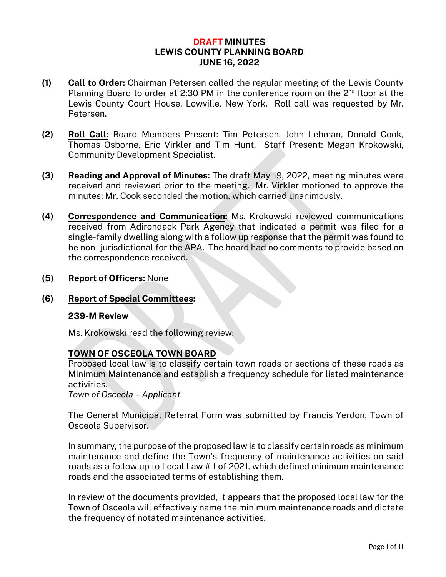# **DRAFT MINUTES LEWIS COUNTY PLANNING BOARD JUNE 16, 2022**

- **(1) Call to Order:** Chairman Petersen called the regular meeting of the Lewis County Planning Board to order at 2:30 PM in the conference room on the 2<sup>nd</sup> floor at the Lewis County Court House, Lowville, New York. Roll call was requested by Mr. Petersen.
- **(2) Roll Call:** Board Members Present: Tim Petersen, John Lehman, Donald Cook, Thomas Osborne, Eric Virkler and Tim Hunt. Staff Present: Megan Krokowski, Community Development Specialist.
- **(3) Reading and Approval of Minutes:** The draft May 19, 2022, meeting minutes were received and reviewed prior to the meeting. Mr. Virkler motioned to approve the minutes; Mr. Cook seconded the motion, which carried unanimously.
- **(4) Correspondence and Communication:** Ms. Krokowski reviewed communications received from Adirondack Park Agency that indicated a permit was filed for a single-family dwelling along with a follow up response that the permit was found to be non- jurisdictional for the APA. The board had no comments to provide based on the correspondence received.
- **(5) Report of Officers:** None
- **(6) Report of Special Committees:**

#### **239-M Review**

Ms. Krokowski read the following review:

#### **TOWN OF OSCEOLA TOWN BOARD**

Proposed local law is to classify certain town roads or sections of these roads as Minimum Maintenance and establish a frequency schedule for listed maintenance activities.

*Town of Osceola – Applicant*

The General Municipal Referral Form was submitted by Francis Yerdon, Town of Osceola Supervisor.

In summary, the purpose of the proposed law is to classify certain roads as minimum maintenance and define the Town's frequency of maintenance activities on said roads as a follow up to Local Law # 1 of 2021, which defined minimum maintenance roads and the associated terms of establishing them.

In review of the documents provided, it appears that the proposed local law for the Town of Osceola will effectively name the minimum maintenance roads and dictate the frequency of notated maintenance activities.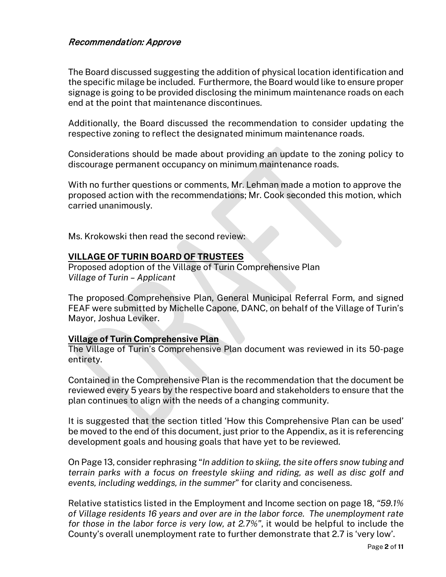# Recommendation: Approve

The Board discussed suggesting the addition of physical location identification and the specific milage be included. Furthermore, the Board would like to ensure proper signage is going to be provided disclosing the minimum maintenance roads on each end at the point that maintenance discontinues.

Additionally, the Board discussed the recommendation to consider updating the respective zoning to reflect the designated minimum maintenance roads.

Considerations should be made about providing an update to the zoning policy to discourage permanent occupancy on minimum maintenance roads.

With no further questions or comments, Mr. Lehman made a motion to approve the proposed action with the recommendations; Mr. Cook seconded this motion, which carried unanimously.

Ms. Krokowski then read the second review:

#### **VILLAGE OF TURIN BOARD OF TRUSTEES**

Proposed adoption of the Village of Turin Comprehensive Plan *Village of Turin – Applicant*

The proposed Comprehensive Plan, General Municipal Referral Form, and signed FEAF were submitted by Michelle Capone, DANC, on behalf of the Village of Turin's Mayor, Joshua Leviker.

#### **Village of Turin Comprehensive Plan**

The Village of Turin's Comprehensive Plan document was reviewed in its 50-page entirety.

Contained in the Comprehensive Plan is the recommendation that the document be reviewed every 5 years by the respective board and stakeholders to ensure that the plan continues to align with the needs of a changing community.

It is suggested that the section titled 'How this Comprehensive Plan can be used' be moved to the end of this document, just prior to the Appendix, as it is referencing development goals and housing goals that have yet to be reviewed.

On Page 13, consider rephrasing "*In addition to skiing, the site offers snow tubing and terrain parks with a focus on freestyle skiing and riding, as well as disc golf and events, including weddings, in the summer*" for clarity and conciseness.

Relative statistics listed in the Employment and Income section on page 18, *"59.1% of Village residents 16 years and over are in the labor force. The unemployment rate for those in the labor force is very low, at 2.7%"*, it would be helpful to include the County's overall unemployment rate to further demonstrate that 2.7 is 'very low'.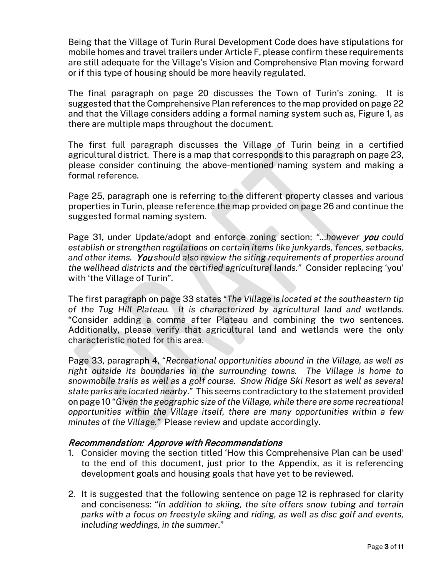Being that the Village of Turin Rural Development Code does have stipulations for mobile homes and travel trailers under Article F, please confirm these requirements are still adequate for the Village's Vision and Comprehensive Plan moving forward or if this type of housing should be more heavily regulated.

The final paragraph on page 20 discusses the Town of Turin's zoning. It is suggested that the Comprehensive Plan references to the map provided on page 22 and that the Village considers adding a formal naming system such as, Figure 1, as there are multiple maps throughout the document.

The first full paragraph discusses the Village of Turin being in a certified agricultural district. There is a map that corresponds to this paragraph on page 23, please consider continuing the above-mentioned naming system and making a formal reference.

Page 25, paragraph one is referring to the different property classes and various properties in Turin, please reference the map provided on page 26 and continue the suggested formal naming system.

Page 31, under Update/adopt and enforce zoning section; *"…however* you *could establish or strengthen regulations on certain items like junkyards, fences, setbacks, and other items.* You *should also review the siting requirements of properties around the wellhead districts and the certified agricultural lands."* Consider replacing 'you' with 'the Village of Turin".

The first paragraph on page 33 states "*The Village is located at the southeastern tip of the Tug Hill Plateau. It is characterized by agricultural land and wetlands*. "Consider adding a comma after Plateau and combining the two sentences. Additionally, please verify that agricultural land and wetlands were the only characteristic noted for this area.

Page 33, paragraph 4, "*Recreational opportunities abound in the Village, as well as right outside its boundaries in the surrounding towns. The Village is home to snowmobile trails as well as a golf course. Snow Ridge Ski Resort as well as several state parks are located nearby*." This seems contradictory to the statement provided on page 10 "*Given the geographic size of the Village, while there are some recreational opportunities within the Village itself, there are many opportunities within a few minutes of the Village."* Please review and update accordingly.

#### Recommendation: Approve with Recommendations

- 1. Consider moving the section titled 'How this Comprehensive Plan can be used' to the end of this document, just prior to the Appendix, as it is referencing development goals and housing goals that have yet to be reviewed.
- 2. It is suggested that the following sentence on page 12 is rephrased for clarity and conciseness: "*In addition to skiing, the site offers snow tubing and terrain parks with a focus on freestyle skiing and riding, as well as disc golf and events, including weddings, in the summer*."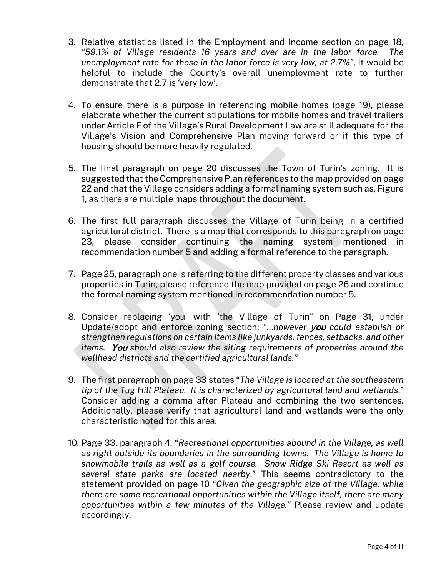- 3. Relative statistics listed in the Employment and Income section on page 18, *"59.1% of Village residents 16 years and over are in the labor force. The unemployment rate for those in the labor force is very low, at 2.7%"*, it would be helpful to include the County's overall unemployment rate to further demonstrate that 2.7 is 'very low'.
- 4. To ensure there is a purpose in referencing mobile homes (page 19), please elaborate whether the current stipulations for mobile homes and travel trailers under Article F of the Village's Rural Development Law are still adequate for the Village's Vision and Comprehensive Plan moving forward or if this type of housing should be more heavily regulated.
- 5. The final paragraph on page 20 discusses the Town of Turin's zoning. It is suggested that the Comprehensive Plan references to the map provided on page 22 and that the Village considers adding a formal naming system such as, Figure 1, as there are multiple maps throughout the document.
- 6. The first full paragraph discusses the Village of Turin being in a certified agricultural district. There is a map that corresponds to this paragraph on page 23, please consider continuing the naming system mentioned in recommendation number 5 and adding a formal reference to the paragraph.
- 7. Page 25, paragraph one is referring to the different property classes and various properties in Turin, please reference the map provided on page 26 and continue the formal naming system mentioned in recommendation number 5.
- 8. Consider replacing 'you' with 'the Village of Turin" on Page 31, under Update/adopt and enforce zoning section; *"…however* you *could establish or strengthen regulations on certain items like junkyards, fences, setbacks, and other items.* You *should also review the siting requirements of properties around the wellhead districts and the certified agricultural lands."*
- 9. The first paragraph on page 33 states "*The Village is located at the southeastern tip of the Tug Hill Plateau. It is characterized by agricultural land and wetlands*." Consider adding a comma after Plateau and combining the two sentences. Additionally, please verify that agricultural land and wetlands were the only characteristic noted for this area.
- 10. Page 33, paragraph 4, "*Recreational opportunities abound in the Village, as well as right outside its boundaries in the surrounding towns. The Village is home to snowmobile trails as well as a golf course. Snow Ridge Ski Resort as well as several state parks are located nearby*." This seems contradictory to the statement provided on page 10 "*Given the geographic size of the Village, while there are some recreational opportunities within the Village itself, there are many opportunities within a few minutes of the Village."* Please review and update accordingly.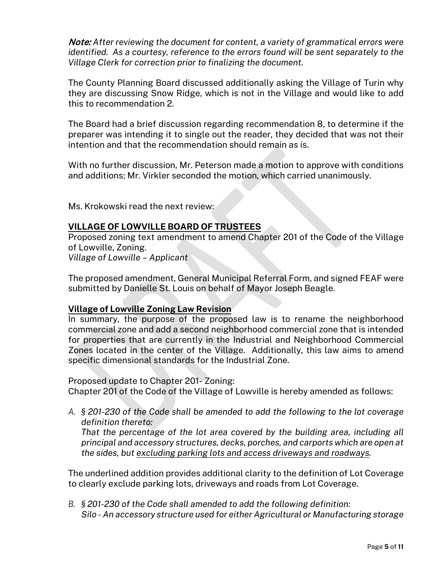Note: *After reviewing the document for content, a variety of grammatical errors were identified. As a courtesy, reference to the errors found will be sent separately to the Village Clerk for correction prior to finalizing the document.*

The County Planning Board discussed additionally asking the Village of Turin why they are discussing Snow Ridge, which is not in the Village and would like to add this to recommendation 2.

The Board had a brief discussion regarding recommendation 8, to determine if the preparer was intending it to single out the reader, they decided that was not their intention and that the recommendation should remain as is.

With no further discussion, Mr. Peterson made a motion to approve with conditions and additions; Mr. Virkler seconded the motion, which carried unanimously.

Ms. Krokowski read the next review:

#### **VILLAGE OF LOWVILLE BOARD OF TRUSTEES**

Proposed zoning text amendment to amend Chapter 201 of the Code of the Village of Lowville, Zoning. *Village of Lowville – Applicant*

The proposed amendment, General Municipal Referral Form, and signed FEAF were submitted by Danielle St. Louis on behalf of Mayor Joseph Beagle.

#### **Village of Lowville Zoning Law Revision**

In summary, the purpose of the proposed law is to rename the neighborhood commercial zone and add a second neighborhood commercial zone that is intended for properties that are currently in the Industrial and Neighborhood Commercial Zones located in the center of the Village. Additionally, this law aims to amend specific dimensional standards for the Industrial Zone.

Proposed update to Chapter 201- Zoning:

Chapter 201 of the Code of the Village of Lowville is hereby amended as follows:

*A. § 201-230 of the Code shall be amended to add the following to the lot coverage definition thereto:*

*That the percentage of the lot area covered by the building area, including all principal and accessory structures, decks, porches, and carports which are open at the sides, but excluding parking lots and access driveways and roadways.*

The underlined addition provides additional clarity to the definition of Lot Coverage to clearly exclude parking lots, driveways and roads from Lot Coverage.

*B. § 201-230 of the Code shall amended to add the following definition: Silo - An accessory structure used for either Agricultural or Manufacturing storage*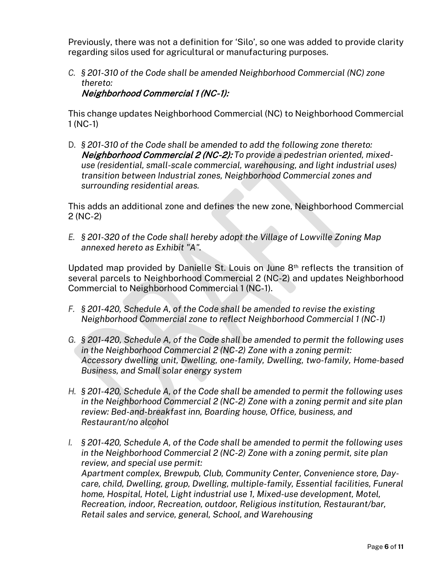Previously, there was not a definition for 'Silo', so one was added to provide clarity regarding silos used for agricultural or manufacturing purposes.

*C. § 201-310 of the Code shall be amended Neighborhood Commercial (NC) zone thereto:* Neighborhood Commercial 1 (NC-1):

This change updates Neighborhood Commercial (NC) to Neighborhood Commercial 1 (NC-1)

D. *§ 201-310 of the Code shall be amended to add the following zone thereto:*  Neighborhood Commercial 2 (NC-2): *To provide a pedestrian oriented, mixeduse (residential, small-scale commercial, warehousing, and light industrial uses) transition between Industrial zones, Neighborhood Commercial zones and surrounding residential areas.*

This adds an additional zone and defines the new zone, Neighborhood Commercial 2 (NC-2)

*E. § 201-320 of the Code shall hereby adopt the Village of Lowville Zoning Map annexed hereto as Exhibit "A".*

Updated map provided by Danielle St. Louis on June 8th reflects the transition of several parcels to Neighborhood Commercial 2 (NC-2) and updates Neighborhood Commercial to Neighborhood Commercial 1 (NC-1).

- *F. § 201-420, Schedule A, of the Code shall be amended to revise the existing Neighborhood Commercial zone to reflect Neighborhood Commercial 1 (NC-1)*
- *G. § 201-420, Schedule A, of the Code shall be amended to permit the following uses in the Neighborhood Commercial 2 (NC-2) Zone with a zoning permit: Accessory dwelling unit, Dwelling, one-family, Dwelling, two-family, Home-based Business, and Small solar energy system*
- *H. § 201-420, Schedule A, of the Code shall be amended to permit the following uses in the Neighborhood Commercial 2 (NC-2) Zone with a zoning permit and site plan review: Bed-and-breakfast inn, Boarding house, Office, business, and Restaurant/no alcohol*
- *I. § 201-420, Schedule A, of the Code shall be amended to permit the following uses in the Neighborhood Commercial 2 (NC-2) Zone with a zoning permit, site plan review, and special use permit: Apartment complex, Brewpub, Club, Community Center, Convenience store, Daycare, child, Dwelling, group, Dwelling, multiple-family, Essential facilities, Funeral home, Hospital, Hotel, Light industrial use 1, Mixed-use development, Motel, Recreation, indoor, Recreation, outdoor, Religious institution, Restaurant/bar, Retail sales and service, general, School, and Warehousing*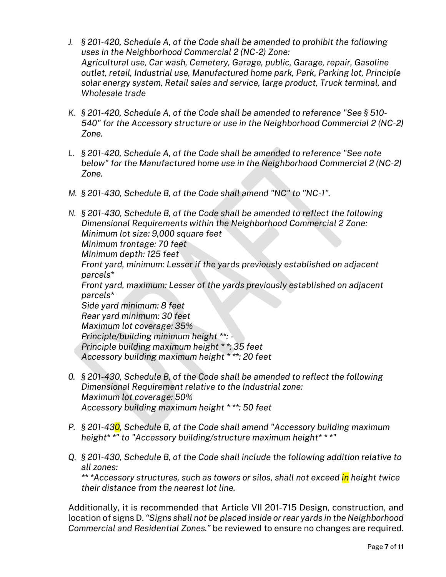- *J. § 201-420, Schedule A, of the Code shall be amended to prohibit the following uses in the Neighborhood Commercial 2 (NC-2) Zone: Agricultural use, Car wash, Cemetery, Garage, public, Garage, repair, Gasoline outlet, retail, Industrial use, Manufactured home park, Park, Parking lot, Principle solar energy system, Retail sales and service, large product, Truck terminal, and Wholesale trade*
- *K. § 201-420, Schedule A, of the Code shall be amended to reference "See § 510- 540" for the Accessory structure or use in the Neighborhood Commercial 2 (NC-2) Zone.*
- *L. § 201-420, Schedule A, of the Code shall be amended to reference "See note below" for the Manufactured home use in the Neighborhood Commercial 2 (NC-2) Zone.*
- *M. § 201-430, Schedule B, of the Code shall amend "NC" to "NC-1".*

*N. § 201-430, Schedule B, of the Code shall be amended to reflect the following Dimensional Requirements within the Neighborhood Commercial 2 Zone: Minimum lot size: 9,000 square feet Minimum frontage: 70 feet Minimum depth: 125 feet Front yard, minimum: Lesser if the yards previously established on adjacent parcels\* Front yard, maximum: Lesser of the yards previously established on adjacent parcels\* Side yard minimum: 8 feet Rear yard minimum: 30 feet Maximum lot coverage: 35% Principle/building minimum height \*\*: - Principle building maximum height \* \*: 35 feet Accessory building maximum height \* \*\*: 20 feet*

- *0. § 201-430, Schedule B, of the Code shall be amended to reflect the following Dimensional Requirement relative to the Industrial zone: Maximum lot coverage: 50% Accessory building maximum height \* \*\*: 50 feet*
- *P. § 201-430, Schedule B, of the Code shall amend "Accessory building maximum height\* \*" to "Accessory building/structure maximum height\* \* \*"*
- *Q. § 201-430, Schedule B, of the Code shall include the following addition relative to all zones: \*\* \*Accessory structures, such as towers or silos, shall not exceed in height twice their distance from the nearest lot line.*

Additionally, it is recommended that Article VII 201-715 Design, construction, and location of signs D. *"Signs shall not be placed inside or rear yards in the Neighborhood Commercial and Residential Zones."* be reviewed to ensure no changes are required*.*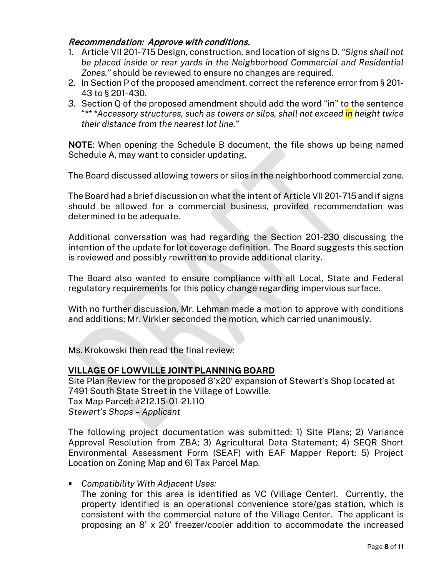### Recommendation: Approve with conditions.

- 1. Article VII 201-715 Design, construction, and location of signs D. *"Signs shall not be placed inside or rear yards in the Neighborhood Commercial and Residential Zones."* should be reviewed to ensure no changes are required.
- 2. In Section P of the proposed amendment, correct the reference error from § 201- 43 to § 201-430.
- *3.* Section Q of the proposed amendment should add the word "in" to the sentence "*\*\* \*Accessory structures, such as towers or silos, shall not exceed in height twice their distance from the nearest lot line."*

**NOTE**: When opening the Schedule B document, the file shows up being named Schedule A, may want to consider updating.

The Board discussed allowing towers or silos in the neighborhood commercial zone.

The Board had a brief discussion on what the intent of Article VII 201-715 and if signs should be allowed for a commercial business, provided recommendation was determined to be adequate.

Additional conversation was had regarding the Section 201-230 discussing the intention of the update for lot coverage definition. The Board suggests this section is reviewed and possibly rewritten to provide additional clarity.

The Board also wanted to ensure compliance with all Local, State and Federal regulatory requirements for this policy change regarding impervious surface.

With no further discussion, Mr. Lehman made a motion to approve with conditions and additions; Mr. Virkler seconded the motion, which carried unanimously.

Ms. Krokowski then read the final review:

#### **VILLAGE OF LOWVILLE JOINT PLANNING BOARD**

Site Plan Review for the proposed 8'x20' expansion of Stewart's Shop located at 7491 South State Street in the Village of Lowville. Tax Map Parcel: #212.15-01-21.110 *Stewart's Shops – Applicant*

The following project documentation was submitted: 1) Site Plans; 2) Variance Approval Resolution from ZBA; 3) Agricultural Data Statement; 4) SEQR Short Environmental Assessment Form (SEAF) with EAF Mapper Report; 5) Project Location on Zoning Map and 6) Tax Parcel Map.

*Compatibility With Adjacent Uses:*

The zoning for this area is identified as VC (Village Center). Currently, the property identified is an operational convenience store/gas station, which is consistent with the commercial nature of the Village Center. The applicant is proposing an 8' x 20' freezer/cooler addition to accommodate the increased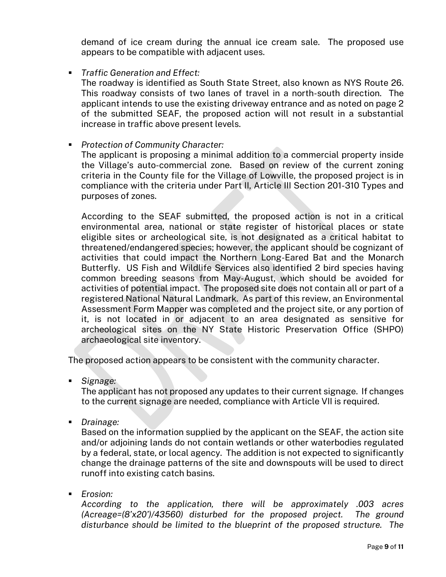demand of ice cream during the annual ice cream sale. The proposed use appears to be compatible with adjacent uses.

*Traffic Generation and Effect:*

The roadway is identified as South State Street, also known as NYS Route 26. This roadway consists of two lanes of travel in a north-south direction. The applicant intends to use the existing driveway entrance and as noted on page 2 of the submitted SEAF, the proposed action will not result in a substantial increase in traffic above present levels.

*Protection of Community Character:*

The applicant is proposing a minimal addition to a commercial property inside the Village's auto-commercial zone. Based on review of the current zoning criteria in the County file for the Village of Lowville, the proposed project is in compliance with the criteria under Part II, Article III Section 201-310 Types and purposes of zones.

According to the SEAF submitted, the proposed action is not in a critical environmental area, national or state register of historical places or state eligible sites or archeological site, is not designated as a critical habitat to threatened/endangered species; however, the applicant should be cognizant of activities that could impact the Northern Long-Eared Bat and the Monarch Butterfly. US Fish and Wildlife Services also identified 2 bird species having common breeding seasons from May-August, which should be avoided for activities of potential impact. The proposed site does not contain all or part of a registered National Natural Landmark. As part of this review, an Environmental Assessment Form Mapper was completed and the project site, or any portion of it, is not located in or adjacent to an area designated as sensitive for archeological sites on the NY State Historic Preservation Office (SHPO) archaeological site inventory.

The proposed action appears to be consistent with the community character.

*Signage:*

The applicant has not proposed any updates to their current signage. If changes to the current signage are needed, compliance with Article VII is required.

*Drainage:*

Based on the information supplied by the applicant on the SEAF, the action site and/or adjoining lands do not contain wetlands or other waterbodies regulated by a federal, state, or local agency. The addition is not expected to significantly change the drainage patterns of the site and downspouts will be used to direct runoff into existing catch basins.

*Erosion:*

*According to the application, there will be approximately .003 acres (Acreage=(8'x20')/43560) disturbed for the proposed project. The ground disturbance should be limited to the blueprint of the proposed structure. The*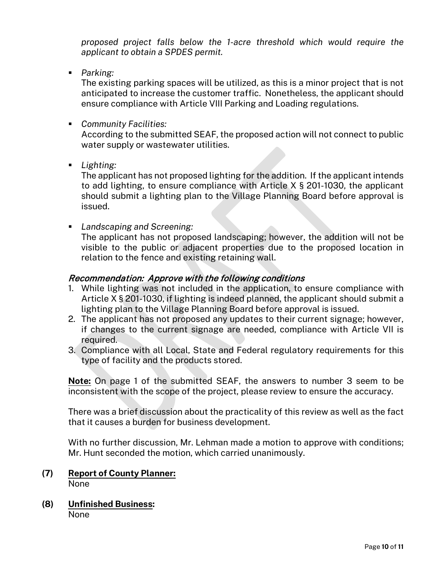*proposed project falls below the 1-acre threshold which would require the applicant to obtain a SPDES permit.*

*Parking:*

The existing parking spaces will be utilized, as this is a minor project that is not anticipated to increase the customer traffic. Nonetheless, the applicant should ensure compliance with Article VIII Parking and Loading regulations.

*Community Facilities:*

According to the submitted SEAF, the proposed action will not connect to public water supply or wastewater utilities.

*Lighting:*

The applicant has not proposed lighting for the addition. If the applicant intends to add lighting, to ensure compliance with Article X § 201-1030, the applicant should submit a lighting plan to the Village Planning Board before approval is issued.

*Landscaping and Screening:*

The applicant has not proposed landscaping; however, the addition will not be visible to the public or adjacent properties due to the proposed location in relation to the fence and existing retaining wall.

# Recommendation: Approve with the following conditions

- 1. While lighting was not included in the application, to ensure compliance with Article X § 201-1030, if lighting is indeed planned, the applicant should submit a lighting plan to the Village Planning Board before approval is issued.
- 2. The applicant has not proposed any updates to their current signage; however, if changes to the current signage are needed, compliance with Article VII is required.
- 3. Compliance with all Local, State and Federal regulatory requirements for this type of facility and the products stored.

**Note:** On page 1 of the submitted SEAF, the answers to number 3 seem to be inconsistent with the scope of the project, please review to ensure the accuracy.

There was a brief discussion about the practicality of this review as well as the fact that it causes a burden for business development.

With no further discussion, Mr. Lehman made a motion to approve with conditions; Mr. Hunt seconded the motion, which carried unanimously.

- **(7) Report of County Planner:** None
- **(8) Unfinished Business:** None